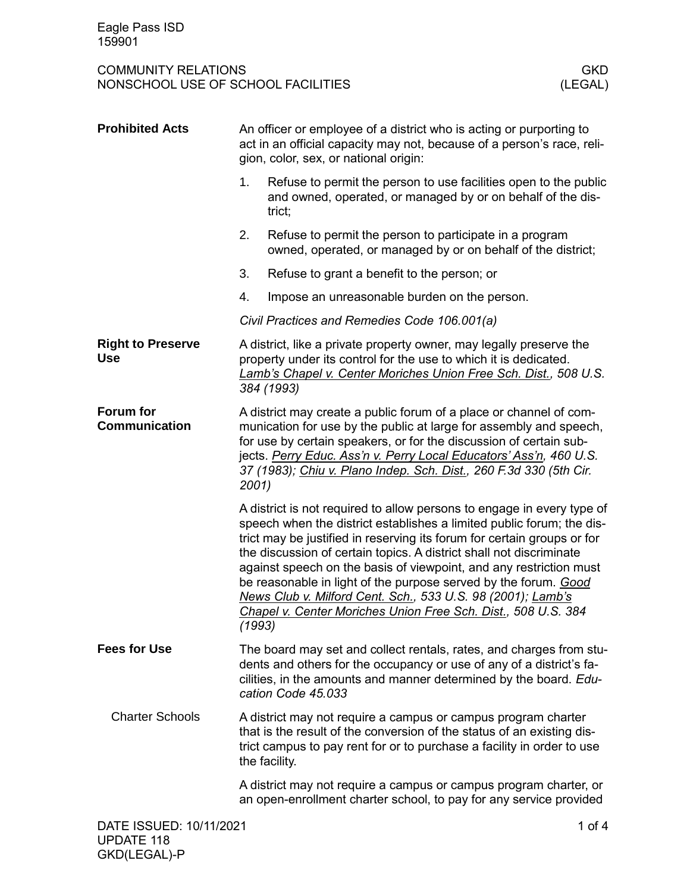| <b>Prohibited Acts</b>                 |                                                                                                                                                                                                                                                                                                                                                                     | An officer or employee of a district who is acting or purporting to<br>act in an official capacity may not, because of a person's race, reli-<br>gion, color, sex, or national origin:                                                                                                                                                                                                                                                                                                                                                                                     |
|----------------------------------------|---------------------------------------------------------------------------------------------------------------------------------------------------------------------------------------------------------------------------------------------------------------------------------------------------------------------------------------------------------------------|----------------------------------------------------------------------------------------------------------------------------------------------------------------------------------------------------------------------------------------------------------------------------------------------------------------------------------------------------------------------------------------------------------------------------------------------------------------------------------------------------------------------------------------------------------------------------|
|                                        | 1.                                                                                                                                                                                                                                                                                                                                                                  | Refuse to permit the person to use facilities open to the public<br>and owned, operated, or managed by or on behalf of the dis-<br>trict;                                                                                                                                                                                                                                                                                                                                                                                                                                  |
|                                        | 2.                                                                                                                                                                                                                                                                                                                                                                  | Refuse to permit the person to participate in a program<br>owned, operated, or managed by or on behalf of the district;                                                                                                                                                                                                                                                                                                                                                                                                                                                    |
|                                        | 3.                                                                                                                                                                                                                                                                                                                                                                  | Refuse to grant a benefit to the person; or                                                                                                                                                                                                                                                                                                                                                                                                                                                                                                                                |
|                                        | 4.                                                                                                                                                                                                                                                                                                                                                                  | Impose an unreasonable burden on the person.                                                                                                                                                                                                                                                                                                                                                                                                                                                                                                                               |
|                                        |                                                                                                                                                                                                                                                                                                                                                                     | Civil Practices and Remedies Code 106.001(a)                                                                                                                                                                                                                                                                                                                                                                                                                                                                                                                               |
| <b>Right to Preserve</b><br><b>Use</b> |                                                                                                                                                                                                                                                                                                                                                                     | A district, like a private property owner, may legally preserve the<br>property under its control for the use to which it is dedicated.<br>Lamb's Chapel v. Center Moriches Union Free Sch. Dist., 508 U.S.<br>384 (1993)                                                                                                                                                                                                                                                                                                                                                  |
| Forum for<br><b>Communication</b>      | A district may create a public forum of a place or channel of com-<br>munication for use by the public at large for assembly and speech,<br>for use by certain speakers, or for the discussion of certain sub-<br>jects. Perry Educ. Ass'n v. Perry Local Educators' Ass'n, 460 U.S.<br>37 (1983); Chiu v. Plano Indep. Sch. Dist., 260 F.3d 330 (5th Cir.<br>2001) |                                                                                                                                                                                                                                                                                                                                                                                                                                                                                                                                                                            |
|                                        | (1993)                                                                                                                                                                                                                                                                                                                                                              | A district is not required to allow persons to engage in every type of<br>speech when the district establishes a limited public forum; the dis-<br>trict may be justified in reserving its forum for certain groups or for<br>the discussion of certain topics. A district shall not discriminate<br>against speech on the basis of viewpoint, and any restriction must<br>be reasonable in light of the purpose served by the forum. Good<br>News Club v. Milford Cent. Sch., 533 U.S. 98 (2001); Lamb's<br>Chapel v. Center Moriches Union Free Sch. Dist., 508 U.S. 384 |
| <b>Fees for Use</b>                    |                                                                                                                                                                                                                                                                                                                                                                     | The board may set and collect rentals, rates, and charges from stu-<br>dents and others for the occupancy or use of any of a district's fa-<br>cilities, in the amounts and manner determined by the board. Edu-<br>cation Code 45.033                                                                                                                                                                                                                                                                                                                                     |
| <b>Charter Schools</b>                 |                                                                                                                                                                                                                                                                                                                                                                     | A district may not require a campus or campus program charter<br>that is the result of the conversion of the status of an existing dis-<br>trict campus to pay rent for or to purchase a facility in order to use<br>the facility.                                                                                                                                                                                                                                                                                                                                         |
|                                        |                                                                                                                                                                                                                                                                                                                                                                     | A district may not require a campus or campus program charter, or<br>an open-enrollment charter school, to pay for any service provided                                                                                                                                                                                                                                                                                                                                                                                                                                    |
| DATE ISSUED: 10/11/2021                |                                                                                                                                                                                                                                                                                                                                                                     | 1 of $4$                                                                                                                                                                                                                                                                                                                                                                                                                                                                                                                                                                   |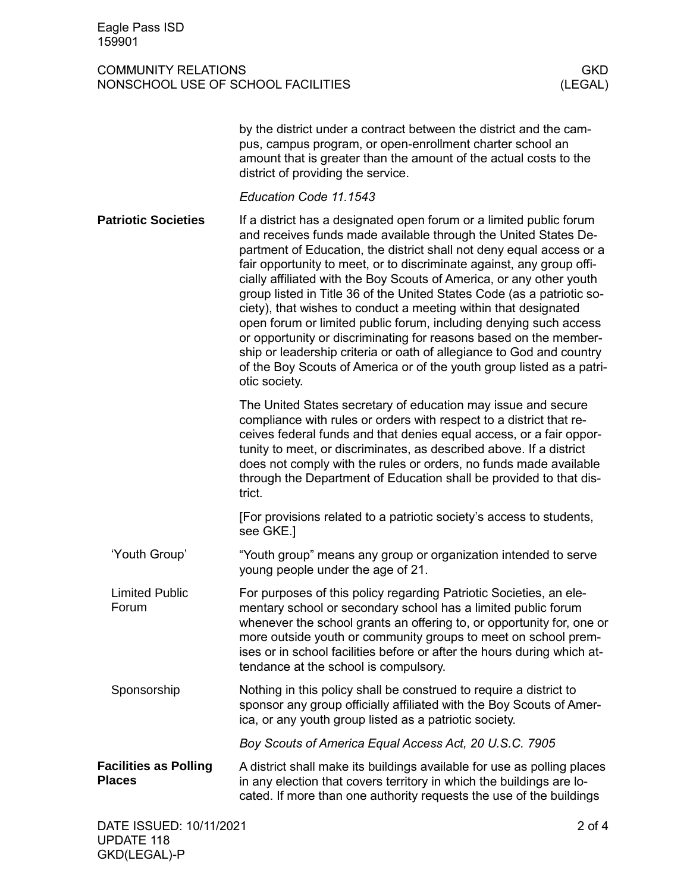|                                               | by the district under a contract between the district and the cam-<br>pus, campus program, or open-enrollment charter school an<br>amount that is greater than the amount of the actual costs to the<br>district of providing the service.                                                                                                                                                                                                                                                                                                                                                                                                                                                                                                                                                                               |
|-----------------------------------------------|--------------------------------------------------------------------------------------------------------------------------------------------------------------------------------------------------------------------------------------------------------------------------------------------------------------------------------------------------------------------------------------------------------------------------------------------------------------------------------------------------------------------------------------------------------------------------------------------------------------------------------------------------------------------------------------------------------------------------------------------------------------------------------------------------------------------------|
|                                               | Education Code 11.1543                                                                                                                                                                                                                                                                                                                                                                                                                                                                                                                                                                                                                                                                                                                                                                                                   |
| <b>Patriotic Societies</b>                    | If a district has a designated open forum or a limited public forum<br>and receives funds made available through the United States De-<br>partment of Education, the district shall not deny equal access or a<br>fair opportunity to meet, or to discriminate against, any group offi-<br>cially affiliated with the Boy Scouts of America, or any other youth<br>group listed in Title 36 of the United States Code (as a patriotic so-<br>ciety), that wishes to conduct a meeting within that designated<br>open forum or limited public forum, including denying such access<br>or opportunity or discriminating for reasons based on the member-<br>ship or leadership criteria or oath of allegiance to God and country<br>of the Boy Scouts of America or of the youth group listed as a patri-<br>otic society. |
|                                               | The United States secretary of education may issue and secure<br>compliance with rules or orders with respect to a district that re-<br>ceives federal funds and that denies equal access, or a fair oppor-<br>tunity to meet, or discriminates, as described above. If a district<br>does not comply with the rules or orders, no funds made available<br>through the Department of Education shall be provided to that dis-<br>trict.                                                                                                                                                                                                                                                                                                                                                                                  |
|                                               | [For provisions related to a patriotic society's access to students,<br>see GKE.]                                                                                                                                                                                                                                                                                                                                                                                                                                                                                                                                                                                                                                                                                                                                        |
| 'Youth Group'                                 | "Youth group" means any group or organization intended to serve<br>young people under the age of 21.                                                                                                                                                                                                                                                                                                                                                                                                                                                                                                                                                                                                                                                                                                                     |
| <b>Limited Public</b><br>Forum                | For purposes of this policy regarding Patriotic Societies, an ele-<br>mentary school or secondary school has a limited public forum<br>whenever the school grants an offering to, or opportunity for, one or<br>more outside youth or community groups to meet on school prem-<br>ises or in school facilities before or after the hours during which at-<br>tendance at the school is compulsory.                                                                                                                                                                                                                                                                                                                                                                                                                       |
| Sponsorship                                   | Nothing in this policy shall be construed to require a district to<br>sponsor any group officially affiliated with the Boy Scouts of Amer-<br>ica, or any youth group listed as a patriotic society.                                                                                                                                                                                                                                                                                                                                                                                                                                                                                                                                                                                                                     |
|                                               | Boy Scouts of America Equal Access Act, 20 U.S.C. 7905                                                                                                                                                                                                                                                                                                                                                                                                                                                                                                                                                                                                                                                                                                                                                                   |
| <b>Facilities as Polling</b><br><b>Places</b> | A district shall make its buildings available for use as polling places<br>in any election that covers territory in which the buildings are lo-<br>cated. If more than one authority requests the use of the buildings                                                                                                                                                                                                                                                                                                                                                                                                                                                                                                                                                                                                   |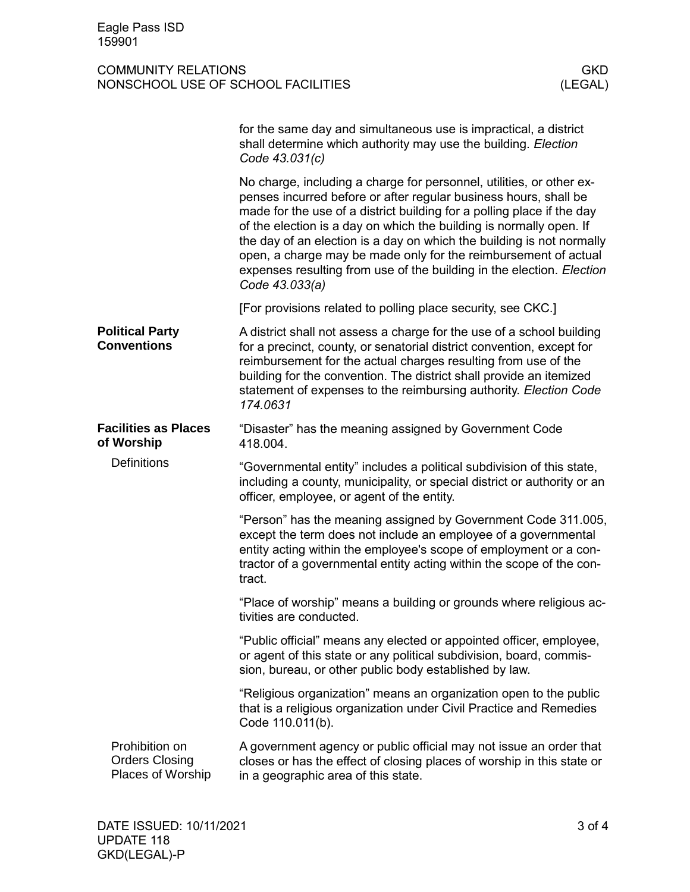|                                                                 | for the same day and simultaneous use is impractical, a district<br>shall determine which authority may use the building. Election<br>Code 43.031(c)                                                                                                                                                                                                                                                                                                                                                                             |
|-----------------------------------------------------------------|----------------------------------------------------------------------------------------------------------------------------------------------------------------------------------------------------------------------------------------------------------------------------------------------------------------------------------------------------------------------------------------------------------------------------------------------------------------------------------------------------------------------------------|
|                                                                 | No charge, including a charge for personnel, utilities, or other ex-<br>penses incurred before or after regular business hours, shall be<br>made for the use of a district building for a polling place if the day<br>of the election is a day on which the building is normally open. If<br>the day of an election is a day on which the building is not normally<br>open, a charge may be made only for the reimbursement of actual<br>expenses resulting from use of the building in the election. Election<br>Code 43.033(a) |
|                                                                 | [For provisions related to polling place security, see CKC.]                                                                                                                                                                                                                                                                                                                                                                                                                                                                     |
| <b>Political Party</b><br><b>Conventions</b>                    | A district shall not assess a charge for the use of a school building<br>for a precinct, county, or senatorial district convention, except for<br>reimbursement for the actual charges resulting from use of the<br>building for the convention. The district shall provide an itemized<br>statement of expenses to the reimbursing authority. Election Code<br>174.0631                                                                                                                                                         |
| <b>Facilities as Places</b><br>of Worship<br><b>Definitions</b> | "Disaster" has the meaning assigned by Government Code<br>418.004.                                                                                                                                                                                                                                                                                                                                                                                                                                                               |
|                                                                 | "Governmental entity" includes a political subdivision of this state,<br>including a county, municipality, or special district or authority or an<br>officer, employee, or agent of the entity.                                                                                                                                                                                                                                                                                                                                  |
|                                                                 | "Person" has the meaning assigned by Government Code 311.005,<br>except the term does not include an employee of a governmental<br>entity acting within the employee's scope of employment or a con-<br>tractor of a governmental entity acting within the scope of the con-<br>tract.                                                                                                                                                                                                                                           |
|                                                                 | "Place of worship" means a building or grounds where religious ac-<br>tivities are conducted.                                                                                                                                                                                                                                                                                                                                                                                                                                    |
|                                                                 | "Public official" means any elected or appointed officer, employee,<br>or agent of this state or any political subdivision, board, commis-<br>sion, bureau, or other public body established by law.                                                                                                                                                                                                                                                                                                                             |
|                                                                 | "Religious organization" means an organization open to the public<br>that is a religious organization under Civil Practice and Remedies<br>Code 110.011(b).                                                                                                                                                                                                                                                                                                                                                                      |
| Prohibition on<br><b>Orders Closing</b><br>Places of Worship    | A government agency or public official may not issue an order that<br>closes or has the effect of closing places of worship in this state or<br>in a geographic area of this state.                                                                                                                                                                                                                                                                                                                                              |